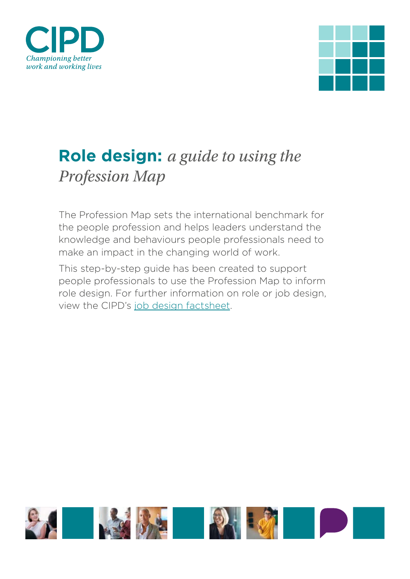



# **Role design:** *a guide to using the Profession Map*

The Profession Map sets the international benchmark for the people profession and helps leaders understand the knowledge and behaviours people professionals need to make an impact in the changing world of work.

This step-by-step guide has been created to support people professionals to use the Profession Map to inform role design. For further information on role or job design, view the CIPD's [job design factsheet](https://www.cipd.co.uk/knowledge/strategy/organisational-development/job-design-factsheet).